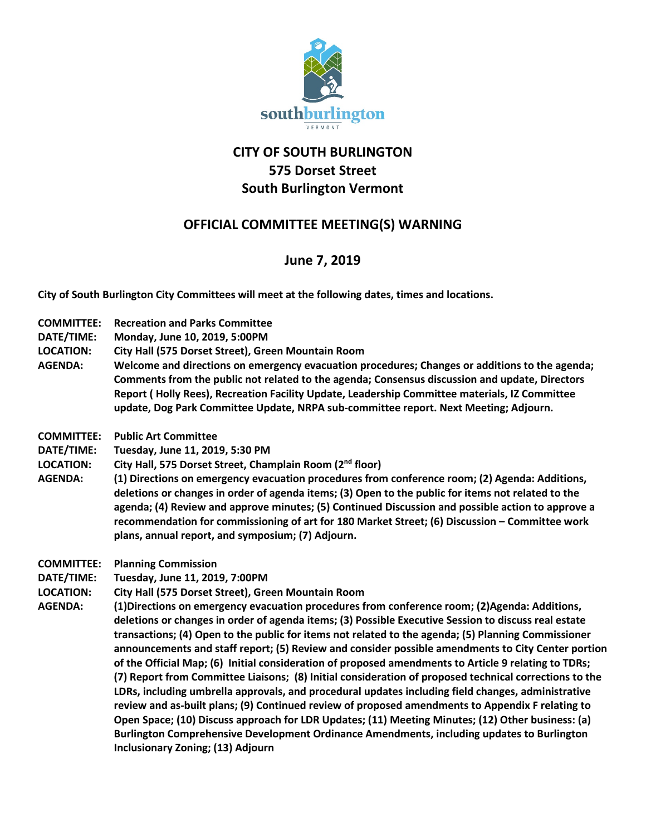

## **CITY OF SOUTH BURLINGTON 575 Dorset Street South Burlington Vermont**

## **OFFICIAL COMMITTEE MEETING(S) WARNING**

## **June 7, 2019**

**City of South Burlington City Committees will meet at the following dates, times and locations.** 

- **COMMITTEE: Recreation and Parks Committee**
- **DATE/TIME: Monday, June 10, 2019, 5:00PM**
- **LOCATION: City Hall (575 Dorset Street), Green Mountain Room**
- **AGENDA: Welcome and directions on emergency evacuation procedures; Changes or additions to the agenda; Comments from the public not related to the agenda; Consensus discussion and update, Directors Report ( Holly Rees), Recreation Facility Update, Leadership Committee materials, IZ Committee update, Dog Park Committee Update, NRPA sub-committee report. Next Meeting; Adjourn.**
- **COMMITTEE: Public Art Committee**
- **DATE/TIME: Tuesday, June 11, 2019, 5:30 PM**
- **LOCATION: City Hall, 575 Dorset Street, Champlain Room (2nd floor)**
- **AGENDA: (1) Directions on emergency evacuation procedures from conference room; (2) Agenda: Additions, deletions or changes in order of agenda items; (3) Open to the public for items not related to the agenda; (4) Review and approve minutes; (5) Continued Discussion and possible action to approve a recommendation for commissioning of art for 180 Market Street; (6) Discussion – Committee work plans, annual report, and symposium; (7) Adjourn.**
- **COMMITTEE: Planning Commission**
- **DATE/TIME: Tuesday, June 11, 2019, 7:00PM**
- **LOCATION: City Hall (575 Dorset Street), Green Mountain Room**
- **AGENDA: (1)Directions on emergency evacuation procedures from conference room; (2)Agenda: Additions, deletions or changes in order of agenda items; (3) Possible Executive Session to discuss real estate transactions; (4) Open to the public for items not related to the agenda; (5) Planning Commissioner announcements and staff report; (5) Review and consider possible amendments to City Center portion of the Official Map; (6) Initial consideration of proposed amendments to Article 9 relating to TDRs; (7) Report from Committee Liaisons; (8) Initial consideration of proposed technical corrections to the LDRs, including umbrella approvals, and procedural updates including field changes, administrative review and as-built plans; (9) Continued review of proposed amendments to Appendix F relating to Open Space; (10) Discuss approach for LDR Updates; (11) Meeting Minutes; (12) Other business: (a) Burlington Comprehensive Development Ordinance Amendments, including updates to Burlington Inclusionary Zoning; (13) Adjourn**